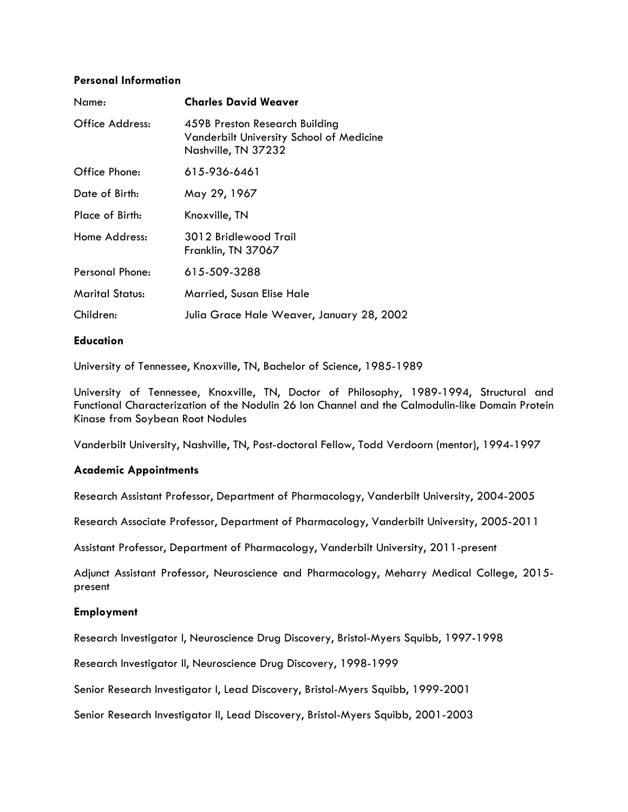#### **Personal Information**

| Name:                  | <b>Charles David Weaver</b>                                                                       |
|------------------------|---------------------------------------------------------------------------------------------------|
| Office Address:        | 459B Preston Research Building<br>Vanderbilt University School of Medicine<br>Nashville, TN 37232 |
| Office Phone:          | 615-936-6461                                                                                      |
| Date of Birth:         | May 29, 1967                                                                                      |
| Place of Birth:        | Knoxville, TN                                                                                     |
| Home Address:          | 3012 Bridlewood Trail<br>Franklin, TN 37067                                                       |
| Personal Phone:        | 615-509-3288                                                                                      |
| <b>Marital Status:</b> | Married, Susan Elise Hale                                                                         |
| Children:              | Julia Grace Hale Weaver, January 28, 2002                                                         |

#### **Education**

University of Tennessee, Knoxville, TN, Bachelor of Science, 1985-1989

University of Tennessee, Knoxville, TN, Doctor of Philosophy, 1989-1994, Structural and Functional Characterization of the Nodulin 26 Ion Channel and the Calmodulin-like Domain Protein Kinase from Soybean Root Nodules

Vanderbilt University, Nashville, TN, Post-doctoral Fellow, Todd Verdoorn (mentor), 1994-1997

### **Academic Appointments**

Research Assistant Professor, Department of Pharmacology, Vanderbilt University, 2004-2005

Research Associate Professor, Department of Pharmacology, Vanderbilt University, 2005-2011

Assistant Professor, Department of Pharmacology, Vanderbilt University, 2011-present

Adjunct Assistant Professor, Neuroscience and Pharmacology, Meharry Medical College, 2015 present

### **Employment**

Research Investigator I, Neuroscience Drug Discovery, Bristol-Myers Squibb, 1997-1998

Research Investigator II, Neuroscience Drug Discovery, 1998-1999

Senior Research Investigator I, Lead Discovery, Bristol-Myers Squibb, 1999-2001

Senior Research Investigator II, Lead Discovery, Bristol-Myers Squibb, 2001-2003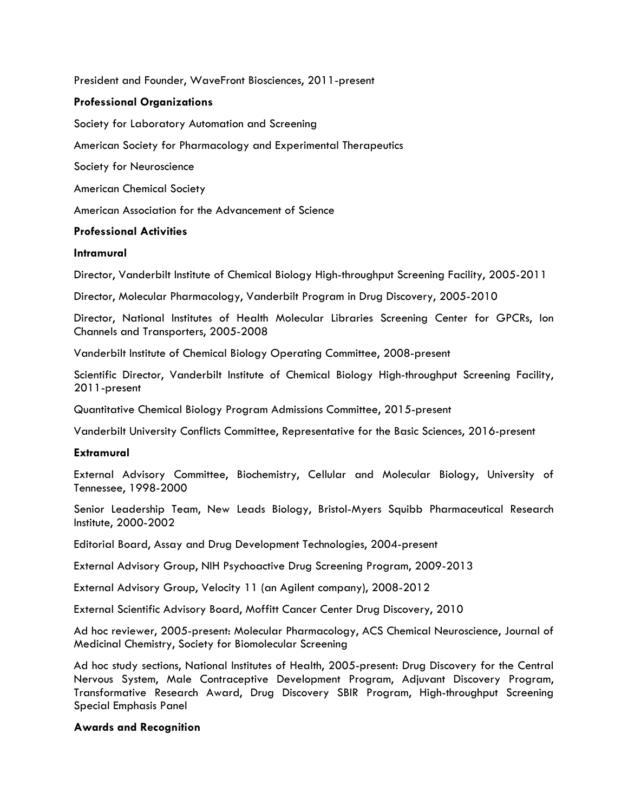President and Founder, WaveFront Biosciences, 2011-present

### **Professional Organizations**

Society for Laboratory Automation and Screening

American Society for Pharmacology and Experimental Therapeutics

Society for Neuroscience

American Chemical Society

American Association for the Advancement of Science

### **Professional Activities**

#### **Intramural**

Director, Vanderbilt Institute of Chemical Biology High-throughput Screening Facility, 2005-2011

Director, Molecular Pharmacology, Vanderbilt Program in Drug Discovery, 2005-2010

Director, National Institutes of Health Molecular Libraries Screening Center for GPCRs, Ion Channels and Transporters, 2005-2008

Vanderbilt Institute of Chemical Biology Operating Committee, 2008-present

Scientific Director, Vanderbilt Institute of Chemical Biology High-throughput Screening Facility, 2011-present

Quantitative Chemical Biology Program Admissions Committee, 2015-present

Vanderbilt University Conflicts Committee, Representative for the Basic Sciences, 2016-present

#### **Extramural**

External Advisory Committee, Biochemistry, Cellular and Molecular Biology, University of Tennessee, 1998-2000

Senior Leadership Team, New Leads Biology, Bristol-Myers Squibb Pharmaceutical Research Institute, 2000-2002

Editorial Board, Assay and Drug Development Technologies, 2004-present

External Advisory Group, NIH Psychoactive Drug Screening Program, 2009-2013

External Advisory Group, Velocity 11 (an Agilent company), 2008-2012

External Scientific Advisory Board, Moffitt Cancer Center Drug Discovery, 2010

Ad hoc reviewer, 2005-present: Molecular Pharmacology, ACS Chemical Neuroscience, Journal of Medicinal Chemistry, Society for Biomolecular Screening

Ad hoc study sections, National Institutes of Health, 2005-present: Drug Discovery for the Central Nervous System, Male Contraceptive Development Program, Adjuvant Discovery Program, Transformative Research Award, Drug Discovery SBIR Program, High-throughput Screening Special Emphasis Panel

### **Awards and Recognition**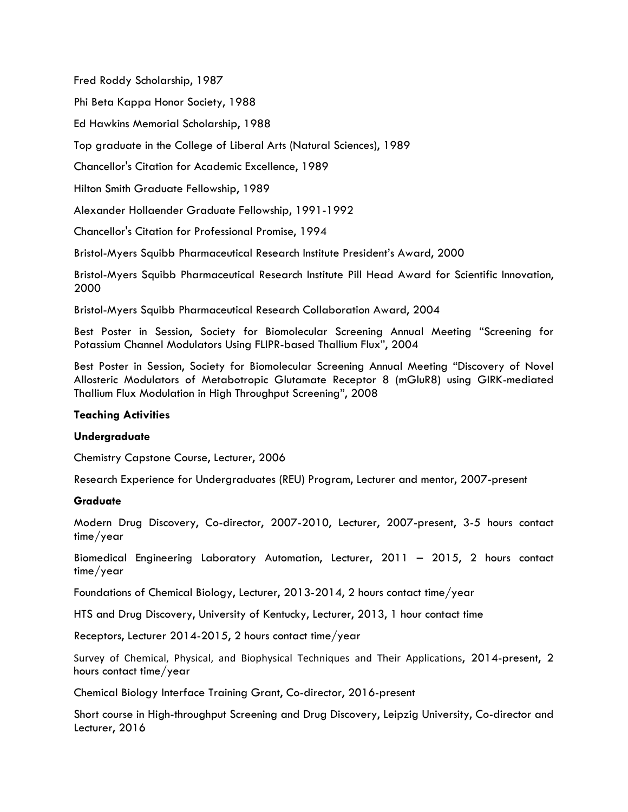Fred Roddy Scholarship, 1987

Phi Beta Kappa Honor Society, 1988

Ed Hawkins Memorial Scholarship, 1988

Top graduate in the College of Liberal Arts (Natural Sciences), 1989

Chancellor's Citation for Academic Excellence, 1989

Hilton Smith Graduate Fellowship, 1989

Alexander Hollaender Graduate Fellowship, 1991-1992

Chancellor's Citation for Professional Promise, 1994

Bristol-Myers Squibb Pharmaceutical Research Institute President's Award, 2000

Bristol-Myers Squibb Pharmaceutical Research Institute Pill Head Award for Scientific Innovation, 2000

Bristol-Myers Squibb Pharmaceutical Research Collaboration Award, 2004

Best Poster in Session, Society for Biomolecular Screening Annual Meeting "Screening for Potassium Channel Modulators Using FLIPR-based Thallium Flux", 2004

Best Poster in Session, Society for Biomolecular Screening Annual Meeting "Discovery of Novel Allosteric Modulators of Metabotropic Glutamate Receptor 8 (mGluR8) using GIRK-mediated Thallium Flux Modulation in High Throughput Screening", 2008

### **Teaching Activities**

### **Undergraduate**

Chemistry Capstone Course, Lecturer, 2006

Research Experience for Undergraduates (REU) Program, Lecturer and mentor, 2007-present

### **Graduate**

Modern Drug Discovery, Co-director, 2007-2010, Lecturer, 2007-present, 3-5 hours contact time/year

Biomedical Engineering Laboratory Automation, Lecturer, 2011 – 2015, 2 hours contact time/year

Foundations of Chemical Biology, Lecturer, 2013-2014, 2 hours contact time/year

HTS and Drug Discovery, University of Kentucky, Lecturer, 2013, 1 hour contact time

Receptors, Lecturer 2014-2015, 2 hours contact time/year

Survey of Chemical, Physical, and Biophysical Techniques and Their Applications, 2014-present, 2 hours contact time/year

Chemical Biology Interface Training Grant, Co-director, 2016-present

Short course in High-throughput Screening and Drug Discovery, Leipzig University, Co-director and Lecturer, 2016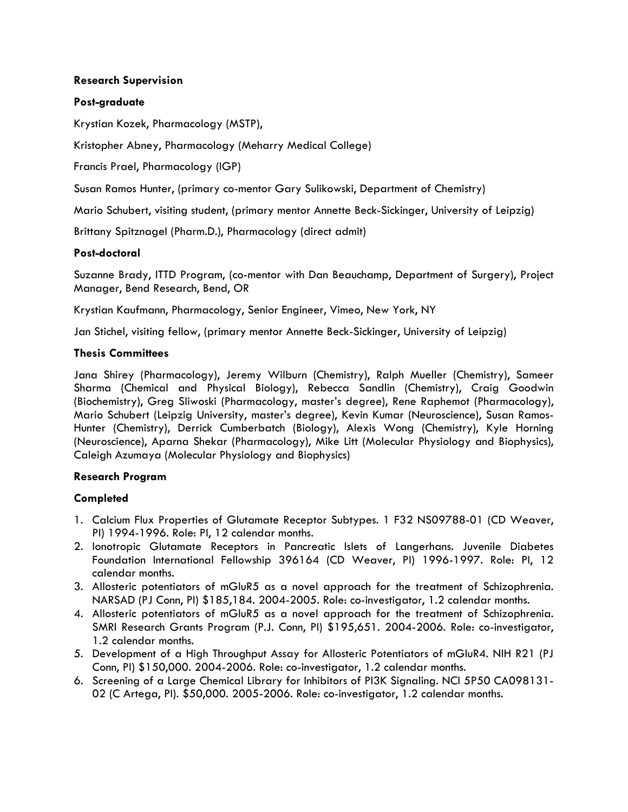## **Research Supervision**

## **Post-graduate**

Krystian Kozek, Pharmacology (MSTP),

Kristopher Abney, Pharmacology (Meharry Medical College)

Francis Prael, Pharmacology (IGP)

Susan Ramos Hunter, (primary co-mentor Gary Sulikowski, Department of Chemistry)

Mario Schubert, visiting student, (primary mentor Annette Beck-Sickinger, University of Leipzig)

Brittany Spitznagel (Pharm.D.), Pharmacology (direct admit)

### **Post-doctoral**

Suzanne Brady, ITTD Program, (co-mentor with Dan Beauchamp, Department of Surgery), Project Manager, Bend Research, Bend, OR

Krystian Kaufmann, Pharmacology, Senior Engineer, Vimeo, New York, NY

Jan Stichel, visiting fellow, (primary mentor Annette Beck-Sickinger, University of Leipzig)

### **Thesis Committees**

Jana Shirey (Pharmacology), Jeremy Wilburn (Chemistry), Ralph Mueller (Chemistry), Sameer Sharma (Chemical and Physical Biology), Rebecca Sandlin (Chemistry), Craig Goodwin (Biochemistry), Greg Sliwoski (Pharmacology, master's degree), Rene Raphemot (Pharmacology), Mario Schubert (Leipzig University, master's degree), Kevin Kumar (Neuroscience), Susan Ramos-Hunter (Chemistry), Derrick Cumberbatch (Biology), Alexis Wong (Chemistry), Kyle Horning (Neuroscience), Aparna Shekar (Pharmacology), Mike Litt (Molecular Physiology and Biophysics), Caleigh Azumaya (Molecular Physiology and Biophysics)

### **Research Program**

# **Completed**

- 1. Calcium Flux Properties of Glutamate Receptor Subtypes. 1 F32 NS09788-01 (CD Weaver, PI) 1994-1996. Role: PI, 12 calendar months.
- 2. Ionotropic Glutamate Receptors in Pancreatic Islets of Langerhans. Juvenile Diabetes Foundation International Fellowship 396164 (CD Weaver, PI) 1996-1997. Role: PI, 12 calendar months.
- 3. Allosteric potentiators of mGluR5 as a novel approach for the treatment of Schizophrenia. NARSAD (PJ Conn, PI) \$185,184. 2004-2005. Role: co-investigator, 1.2 calendar months.
- 4. Allosteric potentiators of mGluR5 as a novel approach for the treatment of Schizophrenia. SMRI Research Grants Program (P.J. Conn, PI) \$195,651. 2004-2006. Role: co-investigator, 1.2 calendar months.
- 5. Development of a High Throughput Assay for Allosteric Potentiators of mGluR4. NIH R21 (PJ Conn, PI) \$150,000. 2004-2006. Role: co-investigator, 1.2 calendar months.
- 6. Screening of a Large Chemical Library for Inhibitors of PI3K Signaling. NCI 5P50 CA098131- 02 (C Artega, PI). \$50,000. 2005-2006. Role: co-investigator, 1.2 calendar months.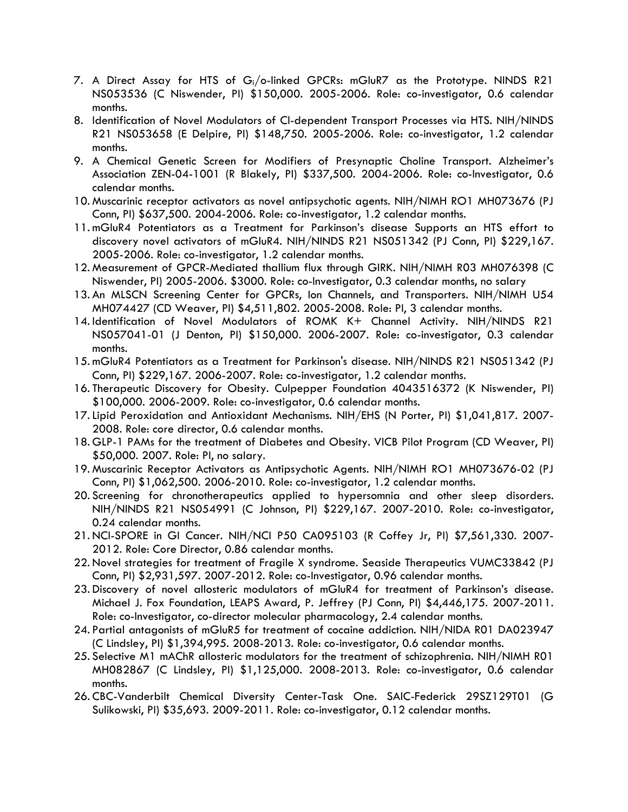- 7. A Direct Assay for HTS of  $G_i/\circ$ -linked GPCRs: mGluR7 as the Prototype. NINDS R21 NS053536 (C Niswender, PI) \$150,000. 2005-2006. Role: co-investigator, 0.6 calendar months.
- 8. Identification of Novel Modulators of Cl-dependent Transport Processes via HTS. NIH/NINDS R21 NS053658 (E Delpire, PI) \$148,750. 2005-2006. Role: co-investigator, 1.2 calendar months.
- 9. A Chemical Genetic Screen for Modifiers of Presynaptic Choline Transport. Alzheimer's Association ZEN-04-1001 (R Blakely, PI) \$337,500. 2004-2006. Role: co-Investigator, 0.6 calendar months.
- 10. Muscarinic receptor activators as novel antipsychotic agents. NIH/NIMH RO1 MH073676 (PJ Conn, PI) \$637,500. 2004-2006. Role: co-investigator, 1.2 calendar months.
- 11. mGluR4 Potentiators as a Treatment for Parkinson's disease Supports an HTS effort to discovery novel activators of mGluR4. NIH/NINDS R21 NS051342 (PJ Conn, PI) \$229,167. 2005-2006. Role: co-investigator, 1.2 calendar months.
- 12. Measurement of GPCR-Mediated thallium flux through GIRK. NIH/NIMH R03 MH076398 (C Niswender, PI) 2005-2006. \$3000. Role: co-Investigator, 0.3 calendar months, no salary
- 13. An MLSCN Screening Center for GPCRs, Ion Channels, and Transporters. NIH/NIMH U54 MH074427 (CD Weaver, PI) \$4,511,802. 2005-2008. Role: PI, 3 calendar months.
- 14. Identification of Novel Modulators of ROMK K+ Channel Activity. NIH/NINDS R21 NS057041-01 (J Denton, PI) \$150,000. 2006-2007. Role: co-investigator, 0.3 calendar months.
- 15. mGluR4 Potentiators as a Treatment for Parkinson's disease. NIH/NINDS R21 NS051342 (PJ Conn, PI) \$229,167. 2006-2007. Role: co-investigator, 1.2 calendar months.
- 16. Therapeutic Discovery for Obesity. Culpepper Foundation 4043516372 (K Niswender, PI) \$100,000. 2006-2009. Role: co-investigator, 0.6 calendar months.
- 17.Lipid Peroxidation and Antioxidant Mechanisms. NIH/EHS (N Porter, PI) \$1,041,817. 2007- 2008. Role: core director, 0.6 calendar months.
- 18. GLP-1 PAMs for the treatment of Diabetes and Obesity. VICB Pilot Program (CD Weaver, PI) \$50,000. 2007. Role: PI, no salary.
- 19. Muscarinic Receptor Activators as Antipsychotic Agents. NIH/NIMH RO1 MH073676-02 (PJ Conn, PI) \$1,062,500. 2006-2010. Role: co-investigator, 1.2 calendar months.
- 20. Screening for chronotherapeutics applied to hypersomnia and other sleep disorders. NIH/NINDS R21 NS054991 (C Johnson, PI) \$229,167. 2007-2010. Role: co-investigator, 0.24 calendar months.
- 21. NCI-SPORE in GI Cancer. NIH/NCI P50 CA095103 (R Coffey Jr, PI) \$7,561,330. 2007- 2012. Role: Core Director, 0.86 calendar months.
- 22. Novel strategies for treatment of Fragile X syndrome. Seaside Therapeutics VUMC33842 (PJ Conn, PI) \$2,931,597. 2007-2012. Role: co-Investigator, 0.96 calendar months.
- 23. Discovery of novel allosteric modulators of mGluR4 for treatment of Parkinson's disease. Michael J. Fox Foundation, LEAPS Award, P. Jeffrey (PJ Conn, PI) \$4,446,175. 2007-2011. Role: co-Investigator, co-director molecular pharmacology, 2.4 calendar months.
- 24. Partial antagonists of mGluR5 for treatment of cocaine addiction. NIH/NIDA R01 DA023947 (C Lindsley, PI) \$1,394,995. 2008-2013. Role: co-investigator, 0.6 calendar months.
- 25. Selective M1 mAChR allosteric modulators for the treatment of schizophrenia. NIH/NIMH R01 MH082867 (C Lindsley, PI) \$1,125,000. 2008-2013. Role: co-investigator, 0.6 calendar months.
- 26. CBC-Vanderbilt Chemical Diversity Center-Task One. SAIC-Federick 29SZ129T01 (G Sulikowski, PI) \$35,693. 2009-2011. Role: co-investigator, 0.12 calendar months.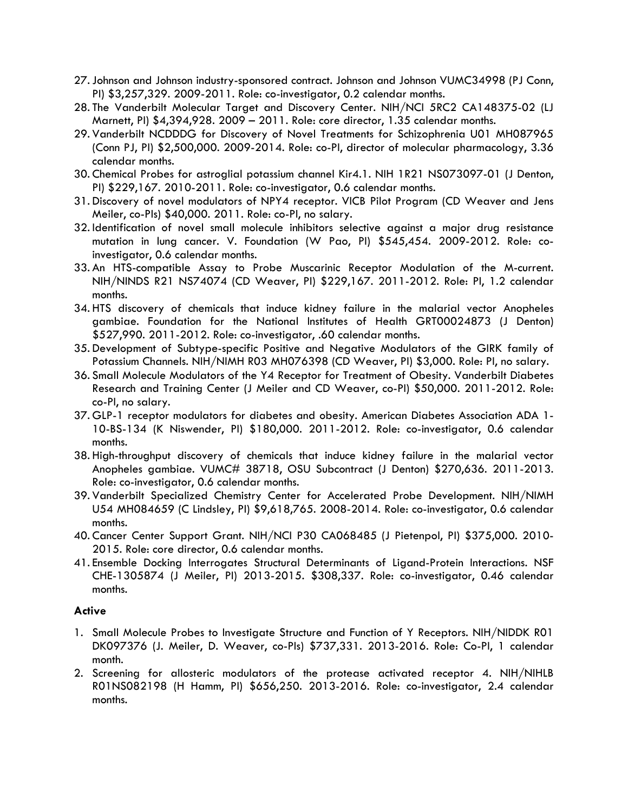- 27.Johnson and Johnson industry-sponsored contract. Johnson and Johnson VUMC34998 (PJ Conn, PI) \$3,257,329. 2009-2011. Role: co-investigator, 0.2 calendar months.
- 28. The Vanderbilt Molecular Target and Discovery Center. NIH/NCI 5RC2 CA148375-02 (LJ Marnett, PI) \$4,394,928. 2009 – 2011. Role: core director, 1.35 calendar months.
- 29. Vanderbilt NCDDDG for Discovery of Novel Treatments for Schizophrenia U01 MH087965 (Conn PJ, PI) \$2,500,000. 2009-2014. Role: co-PI, director of molecular pharmacology, 3.36 calendar months.
- 30. Chemical Probes for astroglial potassium channel Kir4.1. NIH 1R21 NS073097-01 (J Denton, PI) \$229,167. 2010-2011. Role: co-investigator, 0.6 calendar months.
- 31. Discovery of novel modulators of NPY4 receptor. VICB Pilot Program (CD Weaver and Jens Meiler, co-PIs) \$40,000. 2011. Role: co-PI, no salary.
- 32. Identification of novel small molecule inhibitors selective against a major drug resistance mutation in lung cancer. V. Foundation (W Pao, PI) \$545,454. 2009-2012. Role: coinvestigator, 0.6 calendar months.
- 33. An HTS-compatible Assay to Probe Muscarinic Receptor Modulation of the M-current. NIH/NINDS R21 NS74074 (CD Weaver, PI) \$229,167. 2011-2012. Role: PI, 1.2 calendar months.
- 34. HTS discovery of chemicals that induce kidney failure in the malarial vector Anopheles gambiae. Foundation for the National Institutes of Health GRT00024873 (J Denton) \$527,990. 2011-2012. Role: co-investigator, .60 calendar months.
- 35. Development of Subtype-specific Positive and Negative Modulators of the GIRK family of Potassium Channels. NIH/NIMH R03 MH076398 (CD Weaver, PI) \$3,000. Role: PI, no salary.
- 36. Small Molecule Modulators of the Y4 Receptor for Treatment of Obesity. Vanderbilt Diabetes Research and Training Center (J Meiler and CD Weaver, co-PI) \$50,000. 2011-2012. Role: co-PI, no salary.
- 37. GLP-1 receptor modulators for diabetes and obesity. American Diabetes Association ADA 1- 10-BS-134 (K Niswender, PI) \$180,000. 2011-2012. Role: co-investigator, 0.6 calendar months.
- 38. High-throughput discovery of chemicals that induce kidney failure in the malarial vector Anopheles gambiae. VUMC# 38718, OSU Subcontract (J Denton) \$270,636. 2011-2013. Role: co-investigator, 0.6 calendar months.
- 39. Vanderbilt Specialized Chemistry Center for Accelerated Probe Development. NIH/NIMH U54 MH084659 (C Lindsley, PI) \$9,618,765. 2008-2014. Role: co-investigator, 0.6 calendar months.
- 40. Cancer Center Support Grant. NIH/NCI P30 CA068485 (J Pietenpol, PI) \$375,000. 2010- 2015. Role: core director, 0.6 calendar months.
- 41. Ensemble Docking Interrogates Structural Determinants of Ligand-Protein Interactions. NSF CHE-1305874 (J Meiler, PI) 2013-2015. \$308,337. Role: co-investigator, 0.46 calendar months.

# **Active**

- 1. Small Molecule Probes to Investigate Structure and Function of Y Receptors. NIH/NIDDK R01 DK097376 (J. Meiler, D. Weaver, co-PIs) \$737,331. 2013-2016. Role: Co-PI, 1 calendar month.
- 2. Screening for allosteric modulators of the protease activated receptor 4. NIH/NIHLB R01NS082198 (H Hamm, PI) \$656,250. 2013-2016. Role: co-investigator, 2.4 calendar months.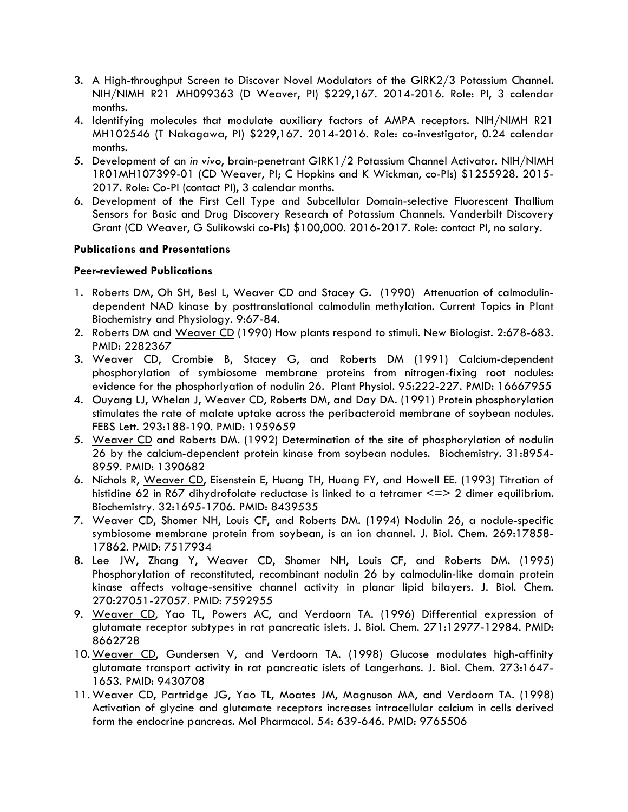- 3. A High-throughput Screen to Discover Novel Modulators of the GIRK2/3 Potassium Channel. NIH/NIMH R21 MH099363 (D Weaver, PI) \$229,167. 2014-2016. Role: PI, 3 calendar months.
- 4. Identifying molecules that modulate auxiliary factors of AMPA receptors. NIH/NIMH R21 MH102546 (T Nakagawa, PI) \$229,167. 2014-2016. Role: co-investigator, 0.24 calendar months.
- 5. Development of an *in vivo*, brain-penetrant GIRK1/2 Potassium Channel Activator. NIH/NIMH 1R01MH107399-01 (CD Weaver, PI; C Hopkins and K Wickman, co-PIs) \$1255928. 2015- 2017. Role: Co-PI (contact PI), 3 calendar months.
- 6. Development of the First Cell Type and Subcellular Domain-selective Fluorescent Thallium Sensors for Basic and Drug Discovery Research of Potassium Channels. Vanderbilt Discovery Grant (CD Weaver, G Sulikowski co-PIs) \$100,000. 2016-2017. Role: contact PI, no salary.

### **Publications and Presentations**

### **Peer-reviewed Publications**

- 1. Roberts DM, Oh SH, Besl L, Weaver CD and Stacey G. (1990) Attenuation of calmodulindependent NAD kinase by posttranslational calmodulin methylation. Current Topics in Plant Biochemistry and Physiology. 9:67-84.
- 2. Roberts DM and Weaver CD (1990) How plants respond to stimuli. New Biologist. 2:678-683. PMID: 2282367
- 3. Weaver CD, Crombie B, Stacey G, and Roberts DM (1991) Calcium-dependent phosphorylation of symbiosome membrane proteins from nitrogen-fixing root nodules: evidence for the phosphorlyation of nodulin 26. Plant Physiol. 95:222-227. PMID: 16667955
- 4. Ouyang LJ, Whelan J, Weaver CD, Roberts DM, and Day DA. (1991) Protein phosphorylation stimulates the rate of malate uptake across the peribacteroid membrane of soybean nodules. FEBS Lett. 293:188-190. PMID: 1959659
- 5. Weaver CD and Roberts DM. (1992) Determination of the site of phosphorylation of nodulin 26 by the calcium-dependent protein kinase from soybean nodules. Biochemistry. 31:8954- 8959. PMID: 1390682
- 6. Nichols R, Weaver CD, Eisenstein E, Huang TH, Huang FY, and Howell EE. (1993) Titration of histidine 62 in R67 dihydrofolate reductase is linked to a tetramer <=> 2 dimer equilibrium. Biochemistry. 32:1695-1706. PMID: 8439535
- 7. Weaver CD, Shomer NH, Louis CF, and Roberts DM. (1994) Nodulin 26, a nodule-specific symbiosome membrane protein from soybean, is an ion channel. J. Biol. Chem. 269:17858- 17862. PMID: 7517934
- 8. Lee JW, Zhang Y, Weaver CD, Shomer NH, Louis CF, and Roberts DM. (1995) Phosphorylation of reconstituted, recombinant nodulin 26 by calmodulin-like domain protein kinase affects voltage-sensitive channel activity in planar lipid bilayers. J. Biol. Chem. 270:27051-27057. PMID: 7592955
- 9. Weaver CD, Yao TL, Powers AC, and Verdoorn TA. (1996) Differential expression of glutamate receptor subtypes in rat pancreatic islets. J. Biol. Chem. 271:12977-12984. PMID: 8662728
- 10. Weaver CD, Gundersen V, and Verdoorn TA. (1998) Glucose modulates high-affinity glutamate transport activity in rat pancreatic islets of Langerhans. J. Biol. Chem. 273:1647- 1653. PMID: 9430708
- 11. Weaver CD, Partridge JG, Yao TL, Moates JM, Magnuson MA, and Verdoorn TA. (1998) Activation of glycine and glutamate receptors increases intracellular calcium in cells derived form the endocrine pancreas. Mol Pharmacol. 54: 639-646. PMID: 9765506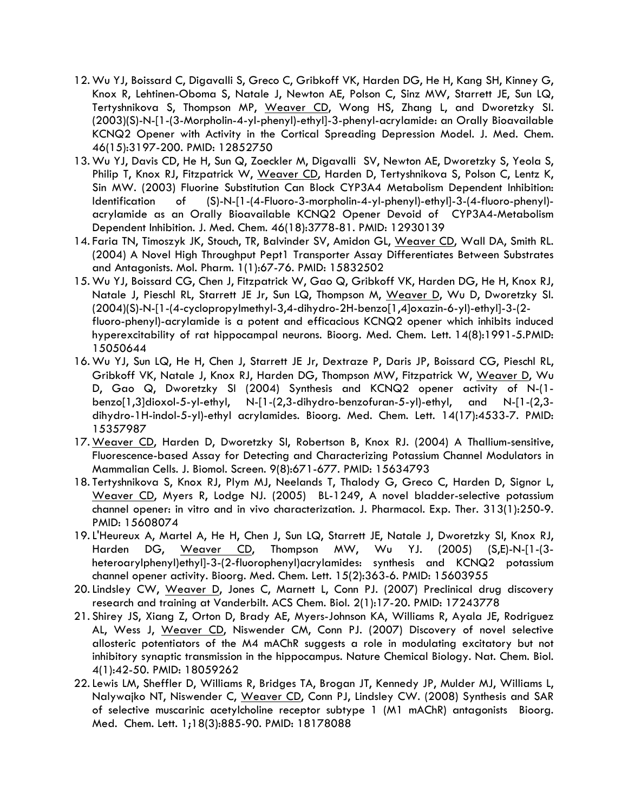- 12. Wu YJ, Boissard C, Digavalli S, Greco C, Gribkoff VK, Harden DG, He H, Kang SH, Kinney G, Knox R, Lehtinen-Oboma S, Natale J, Newton AE, Polson C, Sinz MW, Starrett JE, Sun LQ, Tertyshnikova S, Thompson MP, Weaver CD, Wong HS, Zhang L, and Dworetzky SI. (2003)(S)-N-[1-(3-Morpholin-4-yl-phenyl)-ethyl]-3-phenyl-acrylamide: an Orally Bioavailable KCNQ2 Opener with Activity in the Cortical Spreading Depression Model. J. Med. Chem. 46(15):3197-200. PMID: 12852750
- 13. Wu YJ, Davis CD, He H, Sun Q, Zoeckler M, Digavalli SV, Newton AE, Dworetzky S, Yeola S, Philip T, Knox RJ, Fitzpatrick W, Weaver CD, Harden D, Tertyshnikova S, Polson C, Lentz K, Sin MW. (2003) Fluorine Substitution Can Block CYP3A4 Metabolism Dependent Inhibition: Identification of (S)-N-[1-(4-Fluoro-3-morpholin-4-yl-phenyl)-ethyl]-3-(4-fluoro-phenyl) acrylamide as an Orally Bioavailable KCNQ2 Opener Devoid of CYP3A4-Metabolism Dependent Inhibition. J. Med. Chem. 46(18):3778-81. PMID: 12930139
- 14. Faria TN, Timoszyk JK, Stouch, TR, Balvinder SV, Amidon GL, Weaver CD, Wall DA, Smith RL. (2004) A Novel High Throughput Pept1 Transporter Assay Differentiates Between Substrates and Antagonists. Mol. Pharm. 1(1):67-76. PMID: 15832502
- 15. Wu YJ, Boissard CG, Chen J, Fitzpatrick W, Gao Q, Gribkoff VK, Harden DG, He H, Knox RJ, Natale J, Pieschl RL, Starrett JE Jr, Sun LQ, Thompson M, Weaver D, Wu D, Dworetzky SI. (2004)(S)-N-[1-(4-cyclopropylmethyl-3,4-dihydro-2H-benzo[1,4]oxazin-6-yl)-ethyl]-3-(2 fluoro-phenyl)-acrylamide is a potent and efficacious KCNQ2 opener which inhibits induced hyperexcitability of rat hippocampal neurons. Bioorg. Med. Chem. Lett. 14(8):1991-5.PMID: 15050644
- 16. Wu YJ, Sun LQ, He H, Chen J, Starrett JE Jr, Dextraze P, Daris JP, Boissard CG, Pieschl RL, Gribkoff VK, Natale J, Knox RJ, Harden DG, Thompson MW, Fitzpatrick W, Weaver D, Wu D, Gao Q, Dworetzky SI (2004) Synthesis and KCNQ2 opener activity of N-(1 benzo[1,3]dioxol-5-yl-ethyl, N-[1-(2,3-dihydro-benzofuran-5-yl)-ethyl, and N-[1-(2,3 dihydro-1H-indol-5-yl)-ethyl acrylamides. Bioorg. Med. Chem. Lett. 14(17):4533-7. PMID: 15357987
- 17. Weaver CD, Harden D, Dworetzky SI, Robertson B, Knox RJ. (2004) A Thallium-sensitive, Fluorescence-based Assay for Detecting and Characterizing Potassium Channel Modulators in Mammalian Cells. J. Biomol. Screen. 9(8):671-677. PMID: 15634793
- 18. Tertyshnikova S, Knox RJ, Plym MJ, Neelands T, Thalody G, Greco C, Harden D, Signor L, Weaver CD, Myers R, Lodge NJ. (2005) BL-1249, A novel bladder-selective potassium channel opener: in vitro and in vivo characterization. J. Pharmacol. Exp. Ther. 313(1):250-9. PMID: 15608074
- 19.L'Heureux A, Martel A, He H, Chen J, Sun LQ, Starrett JE, Natale J, Dworetzky SI, Knox RJ, Harden DG, Weaver CD, Thompson MW, Wu YJ. (2005) (S,E)-N-[1-(3 heteroarylphenyl)ethyl]-3-(2-fluorophenyl)acrylamides: synthesis and KCNQ2 potassium channel opener activity. Bioorg. Med. Chem. Lett. 15(2):363-6. PMID: 15603955
- 20. Lindsley CW, Weaver D, Jones C, Marnett L, Conn PJ. (2007) Preclinical drug discovery research and training at Vanderbilt. ACS Chem. Biol. 2(1):17-20. PMID: 17243778
- 21. Shirey JS, Xiang Z, Orton D, Brady AE, Myers-Johnson KA, Williams R, Ayala JE, Rodriguez AL, Wess J, Weaver CD, Niswender CM, Conn PJ. (2007) Discovery of novel selective allosteric potentiators of the M4 mAChR suggests a role in modulating excitatory but not inhibitory synaptic transmission in the hippocampus. Nature Chemical Biology. Nat. Chem. Biol. 4(1):42-50. PMID: 18059262
- 22.Lewis LM, Sheffler D, Williams R, Bridges TA, Brogan JT, Kennedy JP, Mulder MJ, Williams L, Nalywajko NT, Niswender C, Weaver CD, Conn PJ, Lindsley CW. (2008) Synthesis and SAR of selective muscarinic acetylcholine receptor subtype 1 (M1 mAChR) antagonists Bioorg. Med. Chem. Lett. 1;18(3):885-90. PMID: 18178088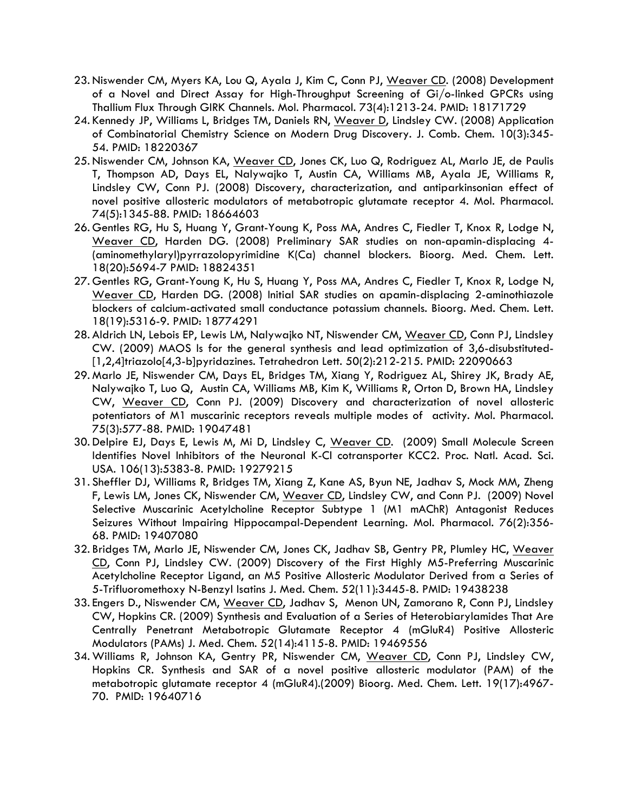- 23. Niswender CM, Myers KA, Lou Q, Ayala J, Kim C, Conn PJ, Weaver CD. (2008) Development of a Novel and Direct Assay for High-Throughput Screening of Gi/o-linked GPCRs using Thallium Flux Through GIRK Channels. Mol. Pharmacol. 73(4):1213-24. PMID: 18171729
- 24. Kennedy JP, Williams L, Bridges TM, Daniels RN, Weaver D, Lindsley CW. (2008) Application of Combinatorial Chemistry Science on Modern Drug Discovery. J. Comb. Chem. 10(3):345- 54. PMID: 18220367
- 25. Niswender CM, Johnson KA, Weaver CD, Jones CK, Luo Q, Rodriguez AL, Marlo JE, de Paulis T, Thompson AD, Days EL, Nalywajko T, Austin CA, Williams MB, Ayala JE, Williams R, Lindsley CW, Conn PJ. (2008) Discovery, characterization, and antiparkinsonian effect of novel positive allosteric modulators of metabotropic glutamate receptor 4. Mol. Pharmacol. 74(5):1345-88. PMID: 18664603
- 26. Gentles RG, Hu S, Huang Y, Grant-Young K, Poss MA, Andres C, Fiedler T, Knox R, Lodge N, Weaver CD, Harden DG. (2008) Preliminary SAR studies on non-apamin-displacing 4- (aminomethylaryl)pyrrazolopyrimidine K(Ca) channel blockers. Bioorg. Med. Chem. Lett. 18(20):5694-7 PMID: 18824351
- 27. Gentles RG, Grant-Young K, Hu S, Huang Y, Poss MA, Andres C, Fiedler T, Knox R, Lodge N, Weaver CD, Harden DG. (2008) Initial SAR studies on apamin-displacing 2-aminothiazole blockers of calcium-activated small conductance potassium channels. Bioorg. Med. Chem. Lett. 18(19):5316-9. PMID: 18774291
- 28. Aldrich LN, Lebois EP, Lewis LM, Nalywajko NT, Niswender CM, Weaver CD, Conn PJ, Lindsley CW. (2009) MAOS ls for the general synthesis and lead optimization of 3,6-disubstituted- [1,2,4]triazolo[4,3-b]pyridazines. Tetrahedron Lett. 50(2):212-215. PMID: 22090663
- 29. Marlo JE, Niswender CM, Days EL, Bridges TM, Xiang Y, Rodriguez AL, Shirey JK, Brady AE, Nalywajko T, Luo Q, Austin CA, Williams MB, Kim K, Williams R, Orton D, Brown HA, Lindsley CW, Weaver CD, Conn PJ. (2009) Discovery and characterization of novel allosteric potentiators of M1 muscarinic receptors reveals multiple modes of activity. Mol. Pharmacol. 75(3):577-88. PMID: 19047481
- 30. Delpire EJ, Days E, Lewis M, Mi D, Lindsley C, Weaver CD. (2009) Small Molecule Screen Identifies Novel Inhibitors of the Neuronal K-Cl cotransporter KCC2. Proc. Natl. Acad. Sci. USA. 106(13):5383-8. PMID: 19279215
- 31. Sheffler DJ, Williams R, Bridges TM, Xiang Z, Kane AS, Byun NE, Jadhav S, Mock MM, Zheng F, Lewis LM, Jones CK, Niswender CM, Weaver CD, Lindsley CW, and Conn PJ. (2009) Novel Selective Muscarinic Acetylcholine Receptor Subtype 1 (M1 mAChR) Antagonist Reduces Seizures Without Impairing Hippocampal-Dependent Learning. Mol. Pharmacol. 76(2):356- 68. PMID: 19407080
- 32. Bridges TM, Marlo JE, Niswender CM, Jones CK, Jadhav SB, Gentry PR, Plumley HC, Weaver CD, Conn PJ, Lindsley CW. (2009) Discovery of the First Highly M5-Preferring Muscarinic Acetylcholine Receptor Ligand, an M5 Positive Allosteric Modulator Derived from a Series of 5-Trifluoromethoxy N-Benzyl Isatins J. Med. Chem. 52(11):3445-8. PMID: 19438238
- 33. Engers D., Niswender CM, Weaver CD, Jadhav S, Menon UN, Zamorano R, Conn PJ, Lindsley CW, Hopkins CR. (2009) Synthesis and Evaluation of a Series of Heterobiarylamides That Are Centrally Penetrant Metabotropic Glutamate Receptor 4 (mGluR4) Positive Allosteric Modulators (PAMs) J. Med. Chem. 52(14):4115-8. PMID: 19469556
- 34. Williams R, Johnson KA, Gentry PR, Niswender CM, Weaver CD, Conn PJ, Lindsley CW, Hopkins CR. Synthesis and SAR of a novel positive allosteric modulator (PAM) of the metabotropic glutamate receptor 4 (mGluR4).(2009) Bioorg. Med. Chem. Lett. 19(17):4967- 70. PMID: 19640716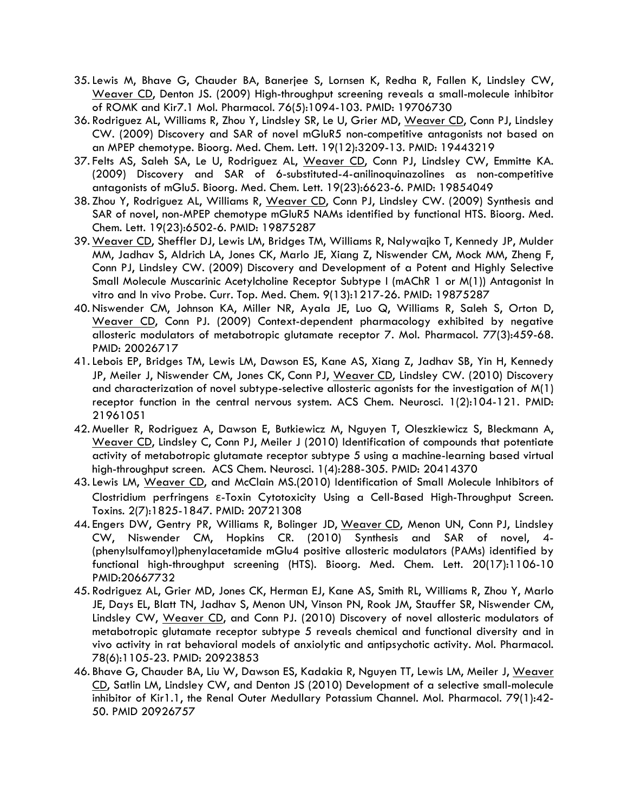- 35.Lewis M, Bhave G, Chauder BA, Banerjee S, Lornsen K, Redha R, Fallen K, Lindsley CW, Weaver CD, Denton JS. (2009) High-throughput screening reveals a small-molecule inhibitor of ROMK and Kir7.1 Mol. Pharmacol. 76(5):1094-103. PMID: 19706730
- 36. Rodriguez AL, Williams R, Zhou Y, Lindsley SR, Le U, Grier MD, Weaver CD, Conn PJ, Lindsley CW. (2009) Discovery and SAR of novel mGluR5 non-competitive antagonists not based on an MPEP chemotype. Bioorg. Med. Chem. Lett. 19(12):3209-13. PMID: 19443219
- 37. Felts AS, Saleh SA, Le U, Rodriguez AL, Weaver CD, Conn PJ, Lindsley CW, Emmitte KA. (2009) Discovery and SAR of 6-substituted-4-anilinoquinazolines as non-competitive antagonists of mGlu5. Bioorg. Med. Chem. Lett. 19(23):6623-6. PMID: 19854049
- 38. Zhou Y, Rodriguez AL, Williams R, Weaver CD, Conn PJ, Lindsley CW. (2009) Synthesis and SAR of novel, non-MPEP chemotype mGluR5 NAMs identified by functional HTS. Bioorg. Med. Chem. Lett. 19(23):6502-6. PMID: 19875287
- 39. Weaver CD, Sheffler DJ, Lewis LM, Bridges TM, Williams R, Nalywajko T, Kennedy JP, Mulder MM, Jadhav S, Aldrich LA, Jones CK, Marlo JE, Xiang Z, Niswender CM, Mock MM, Zheng F, Conn PJ, Lindsley CW. (2009) Discovery and Development of a Potent and Highly Selective Small Molecule Muscarinic Acetylcholine Receptor Subtype I (mAChR 1 or M(1)) Antagonist In vitro and In vivo Probe. Curr. Top. Med. Chem. 9(13):1217-26. PMID: 19875287
- 40. Niswender CM, Johnson KA, Miller NR, Ayala JE, Luo Q, Williams R, Saleh S, Orton D, Weaver CD, Conn PJ. (2009) Context-dependent pharmacology exhibited by negative allosteric modulators of metabotropic glutamate receptor 7. Mol. Pharmacol. 77(3):459-68. PMID: 20026717
- 41.Lebois EP, Bridges TM, Lewis LM, Dawson ES, Kane AS, Xiang Z, Jadhav SB, Yin H, Kennedy JP, Meiler J, Niswender CM, Jones CK, Conn PJ, Weaver CD, Lindsley CW. (2010) Discovery and characterization of novel subtype-selective allosteric agonists for the investigation of M(1) receptor function in the central nervous system. ACS Chem. Neurosci. 1(2):104-121. PMID: 21961051
- 42. Mueller R, Rodriguez A, Dawson E, Butkiewicz M, Nguyen T, Oleszkiewicz S, Bleckmann A, Weaver CD, Lindsley C, Conn PJ, Meiler J (2010) Identification of compounds that potentiate activity of metabotropic glutamate receptor subtype 5 using a machine-learning based virtual high-throughput screen. ACS Chem. Neurosci. 1(4):288-305. PMID: 20414370
- 43.Lewis LM, Weaver CD, and McClain MS.(2010) Identification of Small Molecule Inhibitors of Clostridium perfringens ε-Toxin Cytotoxicity Using a Cell-Based High-Throughput Screen. Toxins. 2(7):1825-1847. PMID: 20721308
- 44. Engers DW, Gentry PR, Williams R, Bolinger JD, Weaver CD, Menon UN, Conn PJ, Lindsley CW, Niswender CM, Hopkins CR. (2010) Synthesis and SAR of novel, 4- (phenylsulfamoyl)phenylacetamide mGlu4 positive allosteric modulators (PAMs) identified by functional high-throughput screening (HTS). Bioorg. Med. Chem. Lett. 20(17):1106-10 PMID:20667732
- 45. Rodriguez AL, Grier MD, Jones CK, Herman EJ, Kane AS, Smith RL, Williams R, Zhou Y, Marlo JE, Days EL, Blatt TN, Jadhav S, Menon UN, Vinson PN, Rook JM, Stauffer SR, Niswender CM, Lindsley CW, Weaver CD, and Conn PJ. (2010) Discovery of novel allosteric modulators of metabotropic glutamate receptor subtype 5 reveals chemical and functional diversity and in vivo activity in rat behavioral models of anxiolytic and antipsychotic activity. Mol. Pharmacol. 78(6):1105-23. PMID: 20923853
- 46. Bhave G, Chauder BA, Liu W, Dawson ES, Kadakia R, Nguyen TT, Lewis LM, Meiler J, Weaver CD, Satlin LM, Lindsley CW, and Denton JS (2010) Development of a selective small-molecule inhibitor of Kir1.1, the Renal Outer Medullary Potassium Channel. Mol. Pharmacol. 79(1):42- 50. PMID 20926757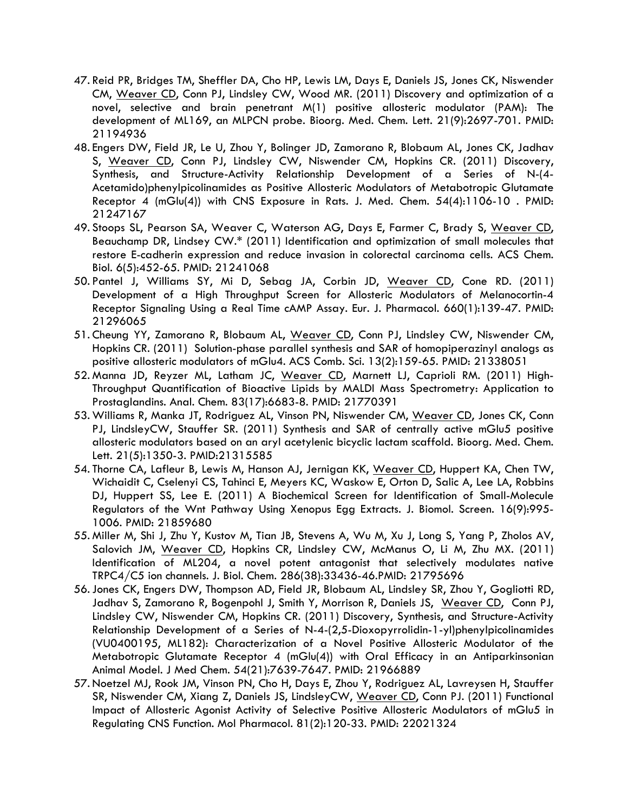- 47. Reid PR, Bridges TM, Sheffler DA, Cho HP, Lewis LM, Days E, Daniels JS, Jones CK, Niswender CM, Weaver CD, Conn PJ, Lindsley CW, Wood MR. (2011) Discovery and optimization of a novel, selective and brain penetrant M(1) positive allosteric modulator (PAM): The development of ML169, an MLPCN probe. Bioorg. Med. Chem. Lett. 21(9):2697-701. PMID: 21194936
- 48. Engers DW, Field JR, Le U, Zhou Y, Bolinger JD, Zamorano R, Blobaum AL, Jones CK, Jadhav S, Weaver CD, Conn PJ, Lindsley CW, Niswender CM, Hopkins CR. (2011) Discovery, Synthesis, and Structure-Activity Relationship Development of a Series of N-(4- Acetamido)phenylpicolinamides as Positive Allosteric Modulators of Metabotropic Glutamate Receptor 4 (mGlu(4)) with CNS Exposure in Rats. J. Med. Chem. 54(4):1106-10 . PMID: 21247167
- 49. Stoops SL, Pearson SA, Weaver C, Waterson AG, Days E, Farmer C, Brady S, Weaver CD, Beauchamp DR, Lindsey CW.\* (2011) Identification and optimization of small molecules that restore E-cadherin expression and reduce invasion in colorectal carcinoma cells. ACS Chem. Biol. 6(5):452-65. PMID: 21241068
- 50. Pantel J, Williams SY, Mi D, Sebag JA, Corbin JD, Weaver CD, Cone RD. (2011) Development of a High Throughput Screen for Allosteric Modulators of Melanocortin-4 Receptor Signaling Using a Real Time cAMP Assay. Eur. J. Pharmacol. 660(1):139-47. PMID: 21296065
- 51. Cheung YY, Zamorano R, Blobaum AL, Weaver CD, Conn PJ, Lindsley CW, Niswender CM, Hopkins CR. (2011) Solution-phase parallel synthesis and SAR of homopiperazinyl analogs as positive allosteric modulators of mGlu4. ACS Comb. Sci. 13(2):159-65. PMID: 21338051
- 52. Manna JD, Reyzer ML, Latham JC, Weaver CD, Marnett LJ, Caprioli RM. (2011) High-Throughput Quantification of Bioactive Lipids by MALDI Mass Spectrometry: Application to Prostaglandins. Anal. Chem. 83(17):6683-8. PMID: 21770391
- 53. Williams R, Manka JT, Rodriguez AL, Vinson PN, Niswender CM, Weaver CD, Jones CK, Conn PJ, LindsleyCW, Stauffer SR. (2011) Synthesis and SAR of centrally active mGlu5 positive allosteric modulators based on an aryl acetylenic bicyclic lactam scaffold. Bioorg. Med. Chem. Lett. 21(5):1350-3. PMID:21315585
- 54. Thorne CA, Lafleur B, Lewis M, Hanson AJ, Jernigan KK, Weaver CD, Huppert KA, Chen TW, Wichaidit C, Cselenyi CS, Tahinci E, Meyers KC, Waskow E, Orton D, Salic A, Lee LA, Robbins DJ, Huppert SS, Lee E. (2011) A Biochemical Screen for Identification of Small-Molecule Regulators of the Wnt Pathway Using Xenopus Egg Extracts. J. Biomol. Screen. 16(9):995- 1006. PMID: 21859680
- 55. Miller M, Shi J, Zhu Y, Kustov M, Tian JB, Stevens A, Wu M, Xu J, Long S, Yang P, Zholos AV, Salovich JM, Weaver CD, Hopkins CR, Lindsley CW, McManus O, Li M, Zhu MX. (2011) Identification of ML204, a novel potent antagonist that selectively modulates native TRPC4/C5 ion channels. J. Biol. Chem. 286(38):33436-46.PMID: 21795696
- 56.Jones CK, Engers DW, Thompson AD, Field JR, Blobaum AL, Lindsley SR, Zhou Y, Gogliotti RD, Jadhav S, Zamorano R, Bogenpohl J, Smith Y, Morrison R, Daniels JS, Weaver CD, Conn PJ, Lindsley CW, Niswender CM, Hopkins CR. (2011) Discovery, Synthesis, and Structure-Activity Relationship Development of a Series of N-4-(2,5-Dioxopyrrolidin-1-yl)phenylpicolinamides (VU0400195, ML182): Characterization of a Novel Positive Allosteric Modulator of the Metabotropic Glutamate Receptor 4 (mGlu(4)) with Oral Efficacy in an Antiparkinsonian Animal Model. J Med Chem. 54(21):7639-7647. PMID: 21966889
- 57. Noetzel MJ, Rook JM, Vinson PN, Cho H, Days E, Zhou Y, Rodriguez AL, Lavreysen H, Stauffer SR, Niswender CM, Xiang Z, Daniels JS, LindsleyCW, Weaver CD, Conn PJ. (2011) Functional Impact of Allosteric Agonist Activity of Selective Positive Allosteric Modulators of mGlu5 in Regulating CNS Function. Mol Pharmacol. 81(2):120-33. PMID: 22021324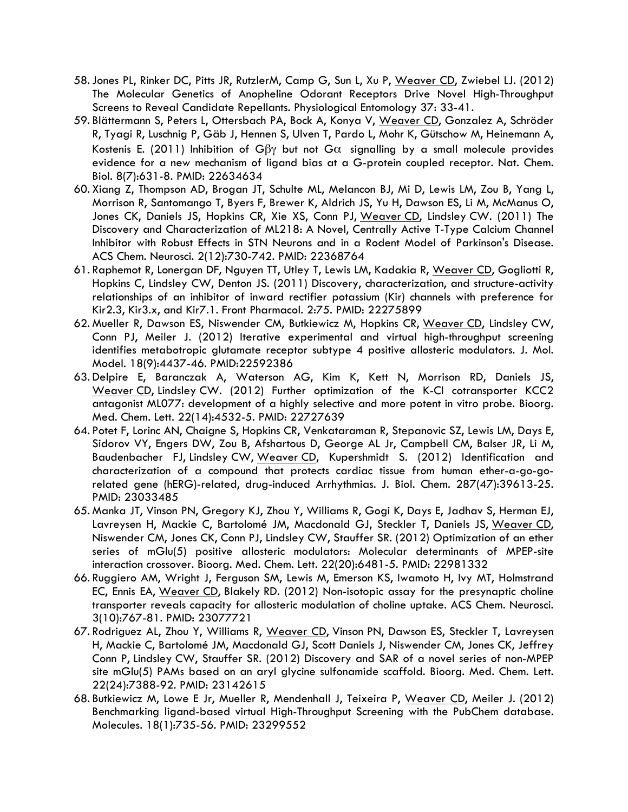- 58.Jones PL, Rinker DC, Pitts JR, RutzlerM, Camp G, Sun L, Xu P, Weaver CD, Zwiebel LJ. (2012) The Molecular Genetics of Anopheline Odorant Receptors Drive Novel High-Throughput Screens to Reveal Candidate Repellants. Physiological Entomology 37: 33-41.
- 59. Blättermann S, Peters L, Ottersbach PA, Bock A, Konya V, Weaver CD, Gonzalez A, Schröder R, Tyagi R, Luschnig P, Gäb J, Hennen S, Ulven T, Pardo L, Mohr K, Gütschow M, Heinemann A, Kostenis E. (2011) Inhibition of G $\beta\gamma$  but not G $\alpha$  signalling by a small molecule provides evidence for a new mechanism of ligand bias at a G-protein coupled receptor. Nat. Chem. Biol. 8(7):631-8. PMID: 22634634
- 60. Xiang Z, Thompson AD, Brogan JT, Schulte ML, Melancon BJ, Mi D, Lewis LM, Zou B, Yang L, Morrison R, Santomango T, Byers F, Brewer K, Aldrich JS, Yu H, Dawson ES, Li M, McManus O, Jones CK, Daniels JS, Hopkins CR, Xie XS, Conn PJ, Weaver CD, Lindsley CW. (2011) The Discovery and Characterization of ML218: A Novel, Centrally Active T-Type Calcium Channel Inhibitor with Robust Effects in STN Neurons and in a Rodent Model of Parkinson's Disease. ACS Chem. Neurosci. 2(12):730-742. PMID: 22368764
- 61. Raphemot R, Lonergan DF, Nguyen TT, Utley T, Lewis LM, Kadakia R, Weaver CD, Gogliotti R, Hopkins C, Lindsley CW, Denton JS. (2011) Discovery, characterization, and structure-activity relationships of an inhibitor of inward rectifier potassium (Kir) channels with preference for Kir2.3, Kir3.x, and Kir7.1. Front Pharmacol. 2:75. PMID: 22275899
- 62. Mueller R, Dawson ES, Niswender CM, Butkiewicz M, Hopkins CR, Weaver CD, Lindsley CW, Conn PJ, Meiler J. (2012) Iterative experimental and virtual high-throughput screening identifies metabotropic glutamate receptor subtype 4 positive allosteric modulators. J. Mol. Model. 18(9):4437-46. PMID:22592386
- 63. Delpire E, Baranczak A, Waterson AG, Kim K, Kett N, Morrison RD, Daniels JS, Weaver CD, Lindsley CW. (2012) Further optimization of the K-Cl cotransporter KCC2 antagonist ML077: development of a highly selective and more potent in vitro probe. Bioorg. Med. Chem. Lett. 22(14):4532-5. PMID: 22727639
- 64. Potet F, Lorinc AN, Chaigne S, Hopkins CR, Venkataraman R, Stepanovic SZ, Lewis LM, Days E, Sidorov VY, Engers DW, Zou B, Afshartous D, George AL Jr, Campbell CM, Balser JR, Li M, Baudenbacher FJ, Lindsley CW, Weaver CD, Kupershmidt S. (2012) Identification and characterization of a compound that protects cardiac tissue from human ether-a-go-gorelated gene (hERG)-related, drug-induced Arrhythmias. J. Biol. Chem. 287(47):39613-25. PMID: 23033485
- 65. Manka JT, Vinson PN, Gregory KJ, Zhou Y, Williams R, Gogi K, Days E, Jadhav S, Herman EJ, Lavreysen H, Mackie C, Bartolomé JM, Macdonald GJ, Steckler T, Daniels JS, Weaver CD, Niswender CM, Jones CK, Conn PJ, Lindsley CW, Stauffer SR. (2012) Optimization of an ether series of mGlu(5) positive allosteric modulators: Molecular determinants of MPEP-site interaction crossover. Bioorg. Med. Chem. Lett. 22(20):6481-5. PMID: 22981332
- 66. Ruggiero AM, Wright J, Ferguson SM, Lewis M, Emerson KS, Iwamoto H, Ivy MT, Holmstrand EC, Ennis EA, Weaver CD, Blakely RD. (2012) Non-isotopic assay for the presynaptic choline transporter reveals capacity for allosteric modulation of choline uptake. ACS Chem. Neurosci. 3(10):767-81. PMID: 23077721
- 67. Rodriguez AL, Zhou Y, Williams R, Weaver CD, Vinson PN, Dawson ES, Steckler T, Lavreysen H, Mackie C, Bartolomé JM, Macdonald GJ, Scott Daniels J, Niswender CM, Jones CK, Jeffrey Conn P, Lindsley CW, Stauffer SR. (2012) Discovery and SAR of a novel series of non-MPEP site mGlu(5) PAMs based on an aryl glycine sulfonamide scaffold. Bioorg. Med. Chem. Lett. 22(24):7388-92. PMID: 23142615
- 68. Butkiewicz M, Lowe E Jr, Mueller R, Mendenhall J, Teixeira P, Weaver CD, Meiler J. (2012) Benchmarking ligand-based virtual High-Throughput Screening with the PubChem database. Molecules. 18(1):735-56. PMID: 23299552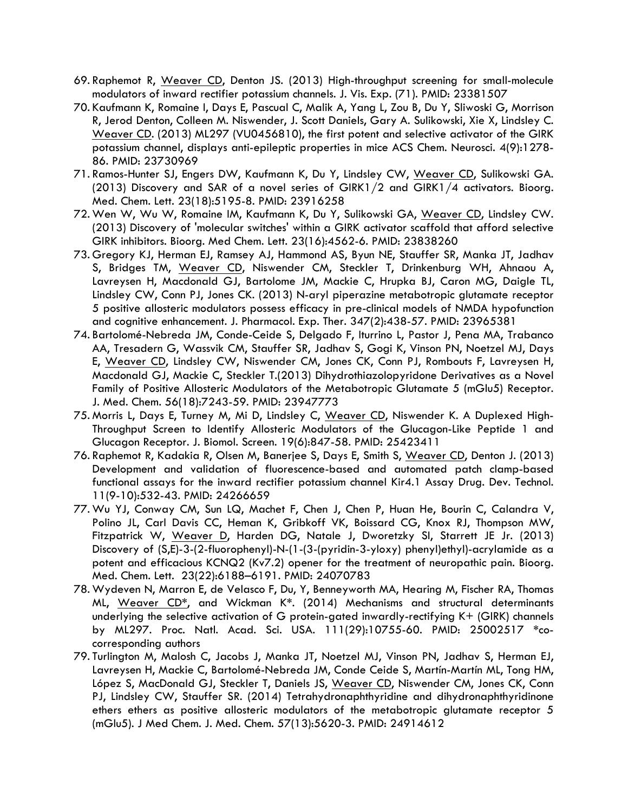- 69. Raphemot R, Weaver CD, Denton JS. (2013) High-throughput screening for small-molecule modulators of inward rectifier potassium channels. J. Vis. Exp. (71). PMID: 23381507
- 70. Kaufmann K, Romaine I, Days E, Pascual C, Malik A, Yang L, Zou B, Du Y, Sliwoski G, Morrison R, Jerod Denton, Colleen M. Niswender, J. Scott Daniels, Gary A. Sulikowski, Xie X, Lindsley C. Weaver CD. (2013) ML297 (VU0456810), the first potent and selective activator of the GIRK potassium channel, displays anti-epileptic properties in mice ACS Chem. Neurosci. 4(9):1278- 86. PMID: 23730969
- 71. Ramos-Hunter SJ, Engers DW, Kaufmann K, Du Y, Lindsley CW, Weaver CD, Sulikowski GA. (2013) Discovery and SAR of a novel series of GIRK1/2 and GIRK1/4 activators. Bioorg. Med. Chem. Lett. 23(18):5195-8. PMID: 23916258
- 72. Wen W, Wu W, Romaine IM, Kaufmann K, Du Y, Sulikowski GA, Weaver CD, Lindsley CW. (2013) Discovery of 'molecular switches' within a GIRK activator scaffold that afford selective GIRK inhibitors. Bioorg. Med Chem. Lett. 23(16):4562-6. PMID: 23838260
- 73. Gregory KJ, Herman EJ, Ramsey AJ, Hammond AS, Byun NE, Stauffer SR, Manka JT, Jadhav S, Bridges TM, Weaver CD, Niswender CM, Steckler T, Drinkenburg WH, Ahnaou A, Lavreysen H, Macdonald GJ, Bartolome JM, Mackie C, Hrupka BJ, Caron MG, Daigle TL, Lindsley CW, Conn PJ, Jones CK. (2013) N-aryl piperazine metabotropic glutamate receptor 5 positive allosteric modulators possess efficacy in pre-clinical models of NMDA hypofunction and cognitive enhancement. J. Pharmacol. Exp. Ther. 347(2):438-57. PMID: 23965381
- 74. Bartolomé-Nebreda JM, Conde-Ceide S, Delgado F, Iturrino L, Pastor J, Pena MA, Trabanco AA, Tresadern G, Wassvik CM, Stauffer SR, Jadhav S, Gogi K, Vinson PN, Noetzel MJ, Days E, Weaver CD, Lindsley CW, Niswender CM, Jones CK, Conn PJ, Rombouts F, Lavreysen H, Macdonald GJ, Mackie C, Steckler T.(2013) Dihydrothiazolopyridone Derivatives as a Novel Family of Positive Allosteric Modulators of the Metabotropic Glutamate 5 (mGlu5) Receptor. J. Med. Chem. 56(18):7243-59. PMID: 23947773
- 75. Morris L, Days E, Turney M, Mi D, Lindsley C, Weaver CD, Niswender K. A Duplexed High-Throughput Screen to Identify Allosteric Modulators of the Glucagon-Like Peptide 1 and Glucagon Receptor. J. Biomol. Screen. 19(6):847-58. PMID: 25423411
- 76. Raphemot R, Kadakia R, Olsen M, Banerjee S, Days E, Smith S, Weaver CD, Denton J. (2013) Development and validation of fluorescence-based and automated patch clamp-based functional assays for the inward rectifier potassium channel Kir4.1 Assay Drug. Dev. Technol. 11(9-10):532-43. PMID: 24266659
- 77. Wu YJ, Conway CM, Sun LQ, Machet F, Chen J, Chen P, Huan He, Bourin C, Calandra V, Polino JL, Carl Davis CC, Heman K, Gribkoff VK, Boissard CG, Knox RJ, Thompson MW, Fitzpatrick W, Weaver D, Harden DG, Natale J, Dworetzky SI, Starrett JE Jr. (2013) Discovery of (S,E)-3-(2-fluorophenyl)-N-(1-(3-(pyridin-3-yloxy) phenyl)ethyl)-acrylamide as a potent and efficacious KCNQ2 (Kv7.2) opener for the treatment of neuropathic pain. Bioorg. Med. Chem. Lett. 23(22):6188–6191. PMID: 24070783
- 78. Wydeven N, Marron E, de Velasco F, Du, Y, Benneyworth MA, Hearing M, Fischer RA, Thomas ML, Weaver CD**\***, and Wickman K**\***. (2014) Mechanisms and structural determinants underlying the selective activation of G protein-gated inwardly-rectifying K+ (GIRK) channels by ML297. Proc. Natl. Acad. Sci. USA. 111(29):10755-60. PMID: 25002517 **\***cocorresponding authors
- 79. Turlington M, Malosh C, Jacobs J, Manka JT, Noetzel MJ, Vinson PN, Jadhav S, Herman EJ, Lavreysen H, Mackie C, Bartolomé-Nebreda JM, Conde Ceide S, Martín-Martín ML, Tong HM, López S, MacDonald GJ, Steckler T, Daniels JS, Weaver CD, Niswender CM, Jones CK, Conn PJ, Lindsley CW, Stauffer SR. (2014) Tetrahydronaphthyridine and dihydronaphthyridinone ethers ethers as positive allosteric modulators of the metabotropic glutamate receptor 5 (mGlu5). J Med Chem. J. Med. Chem. 57(13):5620-3. PMID: 24914612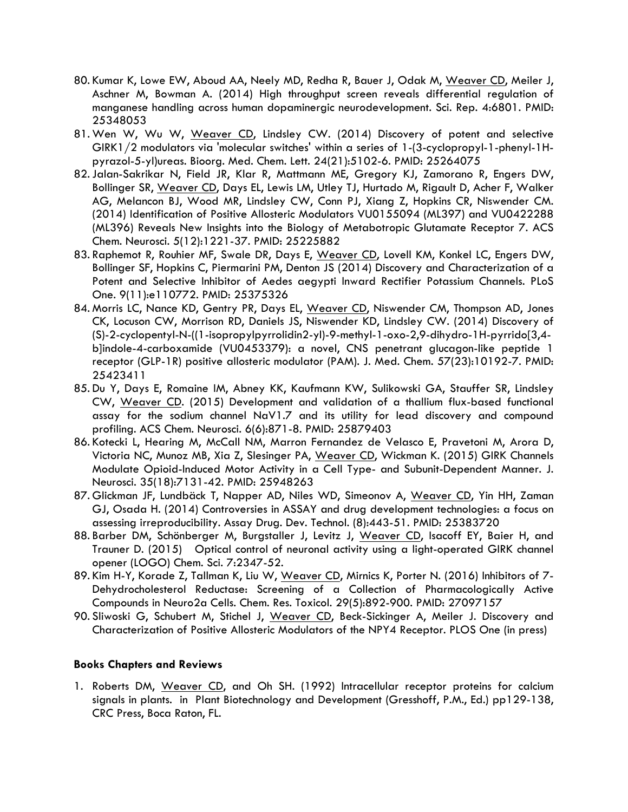- 80. Kumar K, Lowe EW, Aboud AA, Neely MD, Redha R, Bauer J, Odak M, Weaver CD, Meiler J, Aschner M, Bowman A. (2014) High throughput screen reveals differential regulation of manganese handling across human dopaminergic neurodevelopment. Sci. Rep. 4:6801. PMID: 25348053
- 81. Wen W, Wu W, Weaver CD, Lindsley CW. (2014) Discovery of potent and selective GIRK1/2 modulators via 'molecular switches' within a series of 1-(3-cyclopropyl-1-phenyl-1Hpyrazol-5-yl)ureas. Bioorg. Med. Chem. Lett. 24(21):5102-6. PMID: 25264075
- 82.Jalan-Sakrikar N, Field JR, Klar R, Mattmann ME, Gregory KJ, Zamorano R, Engers DW, Bollinger SR, Weaver CD, Days EL, Lewis LM, Utley TJ, Hurtado M, Rigault D, Acher F, Walker AG, Melancon BJ, Wood MR, Lindsley CW, Conn PJ, Xiang Z, Hopkins CR, Niswender CM. (2014) Identification of Positive Allosteric Modulators VU0155094 (ML397) and VU0422288 (ML396) Reveals New Insights into the Biology of Metabotropic Glutamate Receptor 7. ACS Chem. Neurosci. 5(12):1221-37. PMID: 25225882
- 83. Raphemot R, Rouhier MF, Swale DR, Days E, Weaver CD, Lovell KM, Konkel LC, Engers DW, Bollinger SF, Hopkins C, Piermarini PM, Denton JS (2014) Discovery and Characterization of a Potent and Selective Inhibitor of Aedes aegypti Inward Rectifier Potassium Channels. PLoS One. 9(11):e110772. PMID: 25375326
- 84. Morris LC, Nance KD, Gentry PR, Days EL, Weaver CD, Niswender CM, Thompson AD, Jones CK, Locuson CW, Morrison RD, Daniels JS, Niswender KD, Lindsley CW. (2014) Discovery of (S)-2-cyclopentyl-N-((1-isopropylpyrrolidin2-yl)-9-methyl-1-oxo-2,9-dihydro-1H-pyrrido[3,4 b]indole-4-carboxamide (VU0453379): a novel, CNS penetrant glucagon-like peptide 1 receptor (GLP-1R) positive allosteric modulator (PAM). J. Med. Chem. 57(23):10192-7. PMID: 25423411
- 85. Du Y, Days E, Romaine IM, Abney KK, Kaufmann KW, Sulikowski GA, Stauffer SR, Lindsley CW, Weaver CD. (2015) Development and validation of a thallium flux-based functional assay for the sodium channel NaV1.7 and its utility for lead discovery and compound profiling. ACS Chem. Neurosci. 6(6):871-8. PMID: 25879403
- 86. Kotecki L, Hearing M, McCall NM, Marron Fernandez de Velasco E, Pravetoni M, Arora D, Victoria NC, Munoz MB, Xia Z, Slesinger PA, Weaver CD, Wickman K. (2015) GIRK Channels Modulate Opioid-Induced Motor Activity in a Cell Type- and Subunit-Dependent Manner. J. Neurosci. 35(18):7131-42. PMID: 25948263
- 87. Glickman JF, Lundbäck T, Napper AD, Niles WD, Simeonov A, Weaver CD, Yin HH, Zaman GJ, Osada H. (2014) Controversies in ASSAY and drug development technologies: a focus on assessing irreproducibility. Assay Drug. Dev. Technol. (8):443-51. PMID: 25383720
- 88. Barber DM, Schönberger M, Burgstaller J, Levitz J, Weaver CD, Isacoff EY, Baier H, and Trauner D. (2015) Optical control of neuronal activity using a light-operated GIRK channel opener (LOGO) Chem. Sci. 7:2347-52.
- 89. Kim H-Y, Korade Z, Tallman K, Liu W, Weaver CD, Mirnics K, Porter N. (2016) Inhibitors of 7-Dehydrocholesterol Reductase: Screening of a Collection of Pharmacologically Active Compounds in Neuro2a Cells. Chem. Res. Toxicol. 29(5):892-900. PMID: 27097157
- 90. Sliwoski G, Schubert M, Stichel J, Weaver CD, Beck-Sickinger A, Meiler J. Discovery and Characterization of Positive Allosteric Modulators of the NPY4 Receptor. PLOS One (in press)

### **Books Chapters and Reviews**

1. Roberts DM, Weaver CD, and Oh SH. (1992) Intracellular receptor proteins for calcium signals in plants. in Plant Biotechnology and Development (Gresshoff, P.M., Ed.) pp129-138, CRC Press, Boca Raton, FL.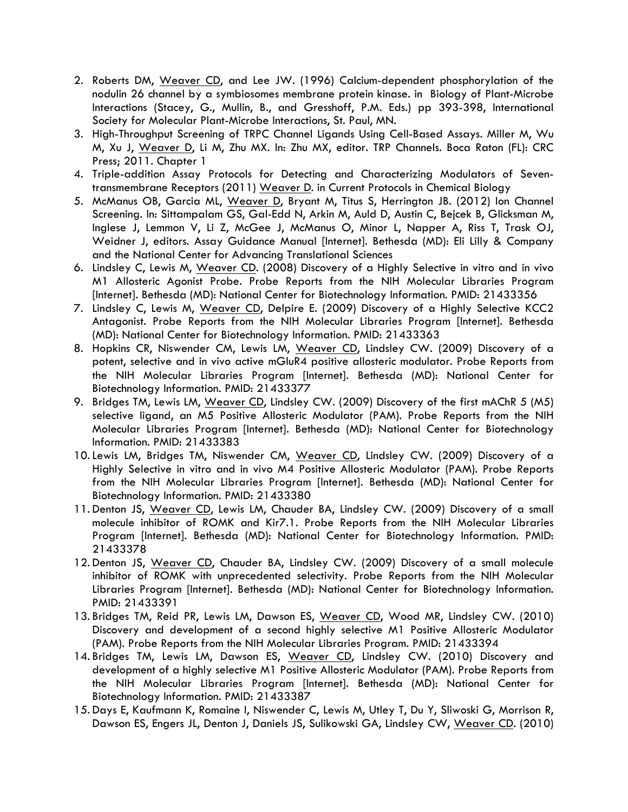- 2. Roberts DM, Weaver CD, and Lee JW. (1996) Calcium-dependent phosphorylation of the nodulin 26 channel by a symbiosomes membrane protein kinase. in Biology of Plant-Microbe Interactions (Stacey, G., Mullin, B., and Gresshoff, P.M. Eds.) pp 393-398, International Society for Molecular Plant-Microbe Interactions, St. Paul, MN.
- 3. High-Throughput Screening of TRPC Channel Ligands Using Cell-Based Assays. Miller M, Wu M, Xu J, Weaver D, Li M, Zhu MX. In: Zhu MX, editor. TRP Channels. Boca Raton (FL): CRC Press; 2011. Chapter 1
- 4. Triple-addition Assay Protocols for Detecting and Characterizing Modulators of Seventransmembrane Receptors (2011) Weaver D. in Current Protocols in Chemical Biology
- 5. McManus OB, Garcia ML, Weaver D, Bryant M, Titus S, Herrington JB. (2012) Ion Channel Screening. In: Sittampalam GS, Gal-Edd N, Arkin M, Auld D, Austin C, Bejcek B, Glicksman M, Inglese J, Lemmon V, Li Z, McGee J, McManus O, Minor L, Napper A, Riss T, Trask OJ, Weidner J, editors. Assay Guidance Manual [Internet]. Bethesda (MD): Eli Lilly & Company and the National Center for Advancing Translational Sciences
- 6. Lindsley C, Lewis M, Weaver CD. (2008) Discovery of a Highly Selective in vitro and in vivo M1 Allosteric Agonist Probe. Probe Reports from the NIH Molecular Libraries Program [Internet]. Bethesda (MD): National Center for Biotechnology Information. PMID: 21433356
- 7. Lindsley C, Lewis M, Weaver CD, Delpire E. (2009) Discovery of a Highly Selective KCC2 Antagonist. Probe Reports from the NIH Molecular Libraries Program [Internet]. Bethesda (MD): National Center for Biotechnology Information. PMID: 21433363
- 8. Hopkins CR, Niswender CM, Lewis LM, Weaver CD, Lindsley CW. (2009) Discovery of a potent, selective and in vivo active mGluR4 positive allosteric modulator. Probe Reports from the NIH Molecular Libraries Program [Internet]. Bethesda (MD): National Center for Biotechnology Information. PMID: 21433377
- 9. Bridges TM, Lewis LM, Weaver CD, Lindsley CW. (2009) Discovery of the first mAChR 5 (M5) selective ligand, an M5 Positive Allosteric Modulator (PAM). Probe Reports from the NIH Molecular Libraries Program [Internet]. Bethesda (MD): National Center for Biotechnology Information. PMID: 21433383
- 10. Lewis LM, Bridges TM, Niswender CM, Weaver CD, Lindsley CW. (2009) Discovery of a Highly Selective in vitro and in vivo M4 Positive Allosteric Modulator (PAM). Probe Reports from the NIH Molecular Libraries Program [Internet]. Bethesda (MD): National Center for Biotechnology Information. PMID: 21433380
- 11. Denton JS, Weaver CD, Lewis LM, Chauder BA, Lindsley CW. (2009) Discovery of a small molecule inhibitor of ROMK and Kir7.1. Probe Reports from the NIH Molecular Libraries Program [Internet]. Bethesda (MD): National Center for Biotechnology Information. PMID: 21433378
- 12. Denton JS, Weaver CD, Chauder BA, Lindsley CW. (2009) Discovery of a small molecule inhibitor of ROMK with unprecedented selectivity. Probe Reports from the NIH Molecular Libraries Program [Internet]. Bethesda (MD): National Center for Biotechnology Information. PMID: 21433391
- 13. Bridges TM, Reid PR, Lewis LM, Dawson ES, Weaver CD, Wood MR, Lindsley CW. (2010) Discovery and development of a second highly selective M1 Positive Allosteric Modulator (PAM). Probe Reports from the NIH Molecular Libraries Program. PMID: 21433394
- 14. Bridges TM, Lewis LM, Dawson ES, Weaver CD, Lindsley CW. (2010) Discovery and development of a highly selective M1 Positive Allosteric Modulator (PAM). Probe Reports from the NIH Molecular Libraries Program [Internet]. Bethesda (MD): National Center for Biotechnology Information. PMID: 21433387
- 15. Days E, Kaufmann K, Romaine I, Niswender C, Lewis M, Utley T, Du Y, Sliwoski G, Morrison R, Dawson ES, Engers JL, Denton J, Daniels JS, Sulikowski GA, Lindsley CW, Weaver CD. (2010)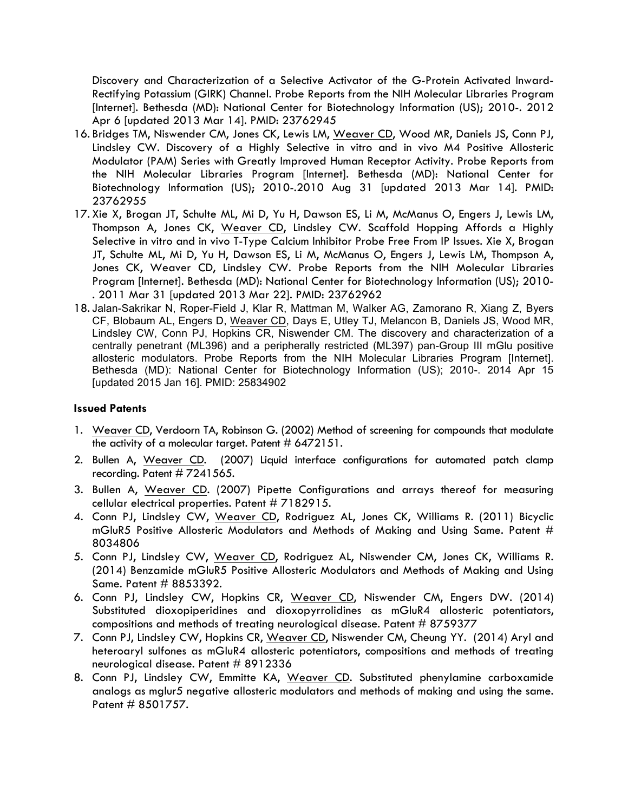Discovery and Characterization of a Selective Activator of the G-Protein Activated Inward-Rectifying Potassium (GIRK) Channel. Probe Reports from the NIH Molecular Libraries Program [Internet]. Bethesda (MD): National Center for Biotechnology Information (US); 2010-. 2012 Apr 6 [updated 2013 Mar 14]. PMID: 23762945

- 16. Bridges TM, Niswender CM, Jones CK, Lewis LM, Weaver CD, Wood MR, Daniels JS, Conn PJ, Lindsley CW. Discovery of a Highly Selective in vitro and in vivo M4 Positive Allosteric Modulator (PAM) Series with Greatly Improved Human Receptor Activity. Probe Reports from the NIH Molecular Libraries Program [Internet]. Bethesda (MD): National Center for Biotechnology Information (US); 2010-.2010 Aug 31 [updated 2013 Mar 14]. PMID: 23762955
- 17. Xie X, Brogan JT, Schulte ML, Mi D, Yu H, Dawson ES, Li M, McManus O, Engers J, Lewis LM, Thompson A, Jones CK, Weaver CD, Lindsley CW. Scaffold Hopping Affords a Highly Selective in vitro and in vivo T-Type Calcium Inhibitor Probe Free From IP Issues. Xie X, Brogan JT, Schulte ML, Mi D, Yu H, Dawson ES, Li M, McManus O, Engers J, Lewis LM, Thompson A, Jones CK, Weaver CD, Lindsley CW. Probe Reports from the NIH Molecular Libraries Program [Internet]. Bethesda (MD): National Center for Biotechnology Information (US); 2010- . 2011 Mar 31 [updated 2013 Mar 22]. PMID: 23762962
- 18. Jalan-Sakrikar N, Roper-Field J, Klar R, Mattman M, Walker AG, Zamorano R, Xiang Z, Byers CF, Blobaum AL, Engers D, Weaver CD, Days E, Utley TJ, Melancon B, Daniels JS, Wood MR, Lindsley CW, Conn PJ, Hopkins CR, Niswender CM. The discovery and characterization of a centrally penetrant (ML396) and a peripherally restricted (ML397) pan-Group III mGlu positive allosteric modulators. Probe Reports from the NIH Molecular Libraries Program [Internet]. Bethesda (MD): National Center for Biotechnology Information (US); 2010-. 2014 Apr 15 [updated 2015 Jan 16]. PMID: 25834902

### **Issued Patents**

- 1. Weaver CD, Verdoorn TA, Robinson G. (2002) Method of screening for compounds that modulate the activity of a molecular target. Patent  $\#$  6472151.
- 2. Bullen A, Weaver CD. (2007) Liquid interface configurations for automated patch clamp recording. Patent #7241565.
- 3. Bullen A, Weaver CD. (2007) Pipette Configurations and arrays thereof for measuring cellular electrical properties. Patent # 7182915.
- 4. Conn PJ, Lindsley CW, Weaver CD, Rodriguez AL, Jones CK, Williams R. (2011) Bicyclic mGluR5 Positive Allosteric Modulators and Methods of Making and Using Same. Patent # 8034806
- 5. Conn PJ, Lindsley CW, Weaver CD, Rodriguez AL, Niswender CM, Jones CK, Williams R. (2014) Benzamide mGluR5 Positive Allosteric Modulators and Methods of Making and Using Same. Patent # 8853392.
- 6. Conn PJ, Lindsley CW, Hopkins CR, Weaver CD, Niswender CM, Engers DW. (2014) Substituted dioxopiperidines and dioxopyrrolidines as mGluR4 allosteric potentiators, compositions and methods of treating neurological disease. Patent # 8759377
- 7. Conn PJ, Lindsley CW, Hopkins CR, Weaver CD, Niswender CM, Cheung YY. (2014) Aryl and heteroaryl sulfones as mGluR4 allosteric potentiators, compositions and methods of treating neurological disease. Patent # 8912336
- 8. Conn PJ, Lindsley CW, Emmitte KA, Weaver CD. Substituted phenylamine carboxamide analogs as mglur5 negative allosteric modulators and methods of making and using the same. Patent # 8501757.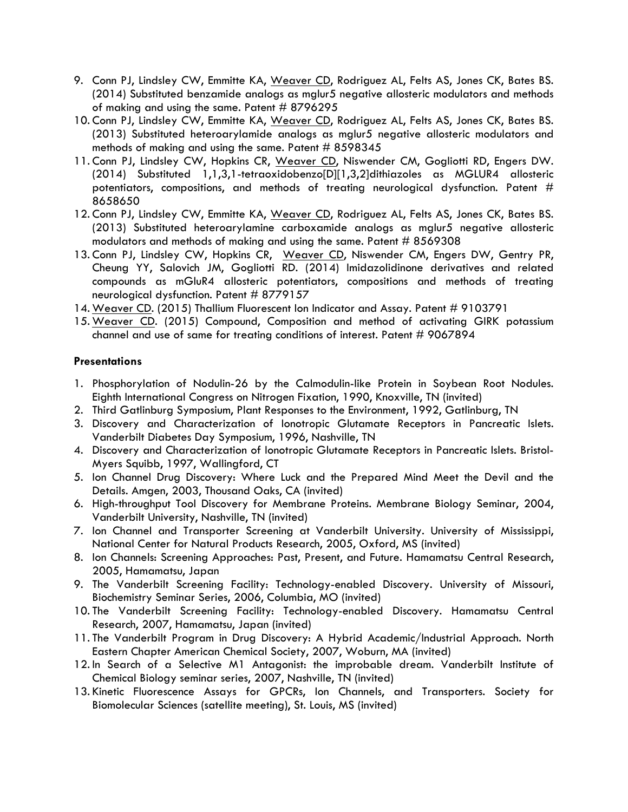- 9. Conn PJ, Lindsley CW, Emmitte KA, Weaver CD, Rodriguez AL, Felts AS, Jones CK, Bates BS. (2014) Substituted benzamide analogs as mglur5 negative allosteric modulators and methods of making and using the same. Patent # 8796295
- 10. Conn PJ, Lindsley CW, Emmitte KA, Weaver CD, Rodriguez AL, Felts AS, Jones CK, Bates BS. (2013) Substituted heteroarylamide analogs as mglur5 negative allosteric modulators and methods of making and using the same. Patent  $#8598345$
- 11. Conn PJ, Lindsley CW, Hopkins CR, Weaver CD, Niswender CM, Gogliotti RD, Engers DW. (2014) Substituted 1,1,3,1-tetraoxidobenzo[D][1,3,2]dithiazoles as MGLUR4 allosteric potentiators, compositions, and methods of treating neurological dysfunction. Patent # 8658650
- 12. Conn PJ, Lindsley CW, Emmitte KA, Weaver CD, Rodriguez AL, Felts AS, Jones CK, Bates BS. (2013) Substituted heteroarylamine carboxamide analogs as mglur5 negative allosteric modulators and methods of making and using the same. Patent # 8569308
- 13. Conn PJ, Lindsley CW, Hopkins CR, Weaver CD, Niswender CM, Engers DW, Gentry PR, Cheung YY, Salovich JM, Gogliotti RD. (2014) Imidazolidinone derivatives and related compounds as mGluR4 allosteric potentiators, compositions and methods of treating neurological dysfunction. Patent # 8779157
- 14. Weaver CD. (2015) Thallium Fluorescent Ion Indicator and Assay. Patent # 9103791
- 15. Weaver CD. (2015) Compound, Composition and method of activating GIRK potassium channel and use of same for treating conditions of interest. Patent # 9067894

### **Presentations**

- 1. Phosphorylation of Nodulin-26 by the Calmodulin-like Protein in Soybean Root Nodules. Eighth International Congress on Nitrogen Fixation, 1990, Knoxville, TN (invited)
- 2. Third Gatlinburg Symposium, Plant Responses to the Environment, 1992, Gatlinburg, TN
- 3. Discovery and Characterization of Ionotropic Glutamate Receptors in Pancreatic Islets. Vanderbilt Diabetes Day Symposium, 1996, Nashville, TN
- 4. Discovery and Characterization of Ionotropic Glutamate Receptors in Pancreatic Islets. Bristol-Myers Squibb, 1997, Wallingford, CT
- 5. Ion Channel Drug Discovery: Where Luck and the Prepared Mind Meet the Devil and the Details. Amgen, 2003, Thousand Oaks, CA (invited)
- 6. High-throughput Tool Discovery for Membrane Proteins. Membrane Biology Seminar, 2004, Vanderbilt University, Nashville, TN (invited)
- 7. Ion Channel and Transporter Screening at Vanderbilt University. University of Mississippi, National Center for Natural Products Research, 2005, Oxford, MS (invited)
- 8. Ion Channels: Screening Approaches: Past, Present, and Future. Hamamatsu Central Research, 2005, Hamamatsu, Japan
- 9. The Vanderbilt Screening Facility: Technology-enabled Discovery. University of Missouri, Biochemistry Seminar Series, 2006, Columbia, MO (invited)
- 10. The Vanderbilt Screening Facility: Technology-enabled Discovery. Hamamatsu Central Research, 2007, Hamamatsu, Japan (invited)
- 11. The Vanderbilt Program in Drug Discovery: A Hybrid Academic/Industrial Approach. North Eastern Chapter American Chemical Society, 2007, Woburn, MA (invited)
- 12. In Search of a Selective M1 Antagonist: the improbable dream. Vanderbilt Institute of Chemical Biology seminar series, 2007, Nashville, TN (invited)
- 13. Kinetic Fluorescence Assays for GPCRs, Ion Channels, and Transporters. Society for Biomolecular Sciences (satellite meeting), St. Louis, MS (invited)